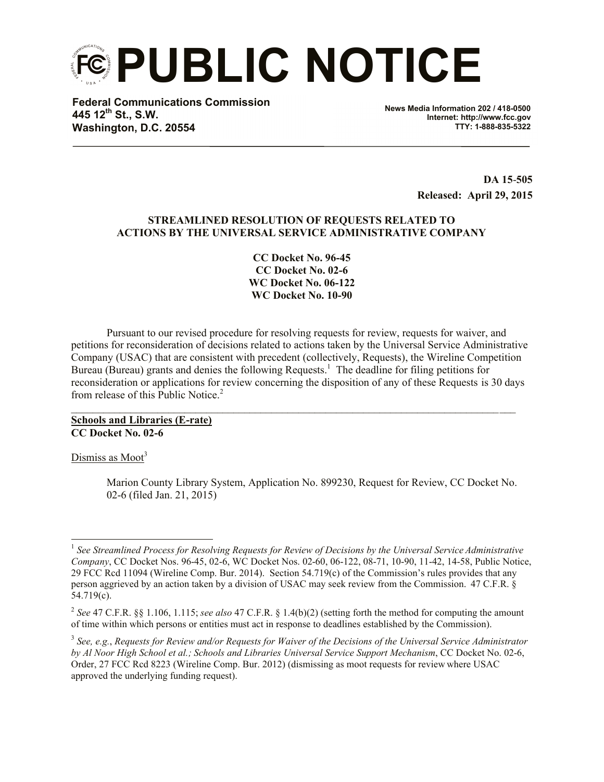**PUBLIC NOTICE**

**Federal Communications Commission 445 12th St., S.W. Washington, D.C. 20554**

**News Media Information 202 / 418-0500 Internet: http://www.fcc.gov TTY: 1-888-835-5322**

> **DA 15**-**505 Released: April 29, 2015**

## **STREAMLINED RESOLUTION OF REQUESTS RELATED TO ACTIONS BY THE UNIVERSAL SERVICE ADMINISTRATIVE COMPANY**

**CC Docket No. 96-45 CC Docket No. 02-6 WC Docket No. 06-122 WC Docket No. 10-90**

Pursuant to our revised procedure for resolving requests for review, requests for waiver, and petitions for reconsideration of decisions related to actions taken by the Universal Service Administrative Company (USAC) that are consistent with precedent (collectively, Requests), the Wireline Competition Bureau (Bureau) grants and denies the following Requests.<sup>1</sup> The deadline for filing petitions for reconsideration or applications for review concerning the disposition of any of these Requests is 30 days from release of this Public Notice<sup>2</sup>

 $\_$ 

**Schools and Libraries (E-rate) CC Docket No. 02-6**

Dismiss as  $Moot<sup>3</sup>$ 

Marion County Library System, Application No. 899230, Request for Review, CC Docket No. 02-6 (filed Jan. 21, 2015)

 1 *See Streamlined Process for Resolving Requests for Review of Decisions by the Universal Service Administrative Company*, CC Docket Nos. 96-45, 02-6, WC Docket Nos. 02-60, 06-122, 08-71, 10-90, 11-42, 14-58, Public Notice, 29 FCC Rcd 11094 (Wireline Comp. Bur. 2014). Section 54.719(c) of the Commission's rules provides that any person aggrieved by an action taken by a division of USAC may seek review from the Commission. 47 C.F.R. § 54.719(c).

<sup>2</sup> *See* 47 C.F.R. §§ 1.106, 1.115; *see also* 47 C.F.R. § 1.4(b)(2) (setting forth the method for computing the amount of time within which persons or entities must act in response to deadlines established by the Commission).

<sup>3</sup> *See, e.g.*, *Requests for Review and/or Requests for Waiver of the Decisions of the Universal Service Administrator by Al Noor High School et al.; Schools and Libraries Universal Service Support Mechanism*, CC Docket No. 02-6, Order, 27 FCC Rcd 8223 (Wireline Comp. Bur. 2012) (dismissing as moot requests for review where USAC approved the underlying funding request).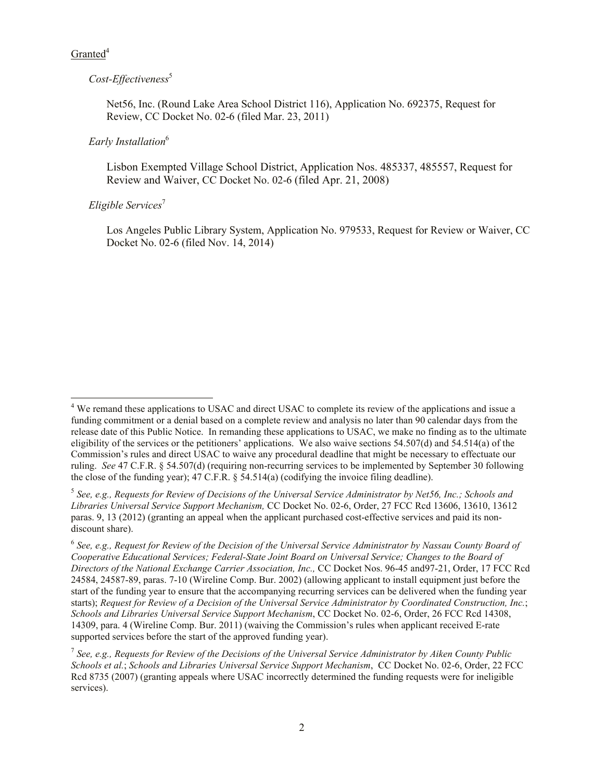# $G$ ranted<sup>4</sup>

# *Cost-Effectiveness*<sup>5</sup>

Net56, Inc. (Round Lake Area School District 116), Application No. 692375, Request for Review, CC Docket No. 02-6 (filed Mar. 23, 2011)

# *Early Installation*<sup>6</sup>

Lisbon Exempted Village School District, Application Nos. 485337, 485557, Request for Review and Waiver, CC Docket No. 02-6 (filed Apr. 21, 2008)

# *Eligible Services*<sup>7</sup>

Los Angeles Public Library System, Application No. 979533, Request for Review or Waiver, CC Docket No. 02-6 (filed Nov. 14, 2014)

l <sup>4</sup> We remand these applications to USAC and direct USAC to complete its review of the applications and issue a funding commitment or a denial based on a complete review and analysis no later than 90 calendar days from the release date of this Public Notice. In remanding these applications to USAC, we make no finding as to the ultimate eligibility of the services or the petitioners' applications. We also waive sections 54.507(d) and 54.514(a) of the Commission's rules and direct USAC to waive any procedural deadline that might be necessary to effectuate our ruling. *See* 47 C.F.R. § 54.507(d) (requiring non-recurring services to be implemented by September 30 following the close of the funding year); 47 C.F.R. § 54.514(a) (codifying the invoice filing deadline).

<sup>5</sup> *See, e.g., Requests for Review of Decisions of the Universal Service Administrator by Net56, Inc.; Schools and Libraries Universal Service Support Mechanism,* CC Docket No. 02-6, Order, 27 FCC Rcd 13606, 13610, 13612 paras. 9, 13 (2012) (granting an appeal when the applicant purchased cost-effective services and paid its nondiscount share).

<sup>&</sup>lt;sup>6</sup> See, e.g., Request for Review of the Decision of the Universal Service Administrator by Nassau County Board of *Cooperative Educational Services; Federal-State Joint Board on Universal Service; Changes to the Board of Directors of the National Exchange Carrier Association, Inc.,* CC Docket Nos. 96-45 and97-21, Order, 17 FCC Rcd 24584, 24587-89, paras. 7-10 (Wireline Comp. Bur. 2002) (allowing applicant to install equipment just before the start of the funding year to ensure that the accompanying recurring services can be delivered when the funding year starts); *Request for Review of a Decision of the Universal Service Administrator by Coordinated Construction, Inc.*; *Schools and Libraries Universal Service Support Mechanism*, CC Docket No. 02-6, Order, 26 FCC Rcd 14308, 14309, para. 4 (Wireline Comp. Bur. 2011) (waiving the Commission's rules when applicant received E-rate supported services before the start of the approved funding year).

<sup>7</sup> *See, e.g., Requests for Review of the Decisions of the Universal Service Administrator by Aiken County Public Schools et al.*; *Schools and Libraries Universal Service Support Mechanism*, CC Docket No. 02-6, Order, 22 FCC Rcd 8735 (2007) (granting appeals where USAC incorrectly determined the funding requests were for ineligible services).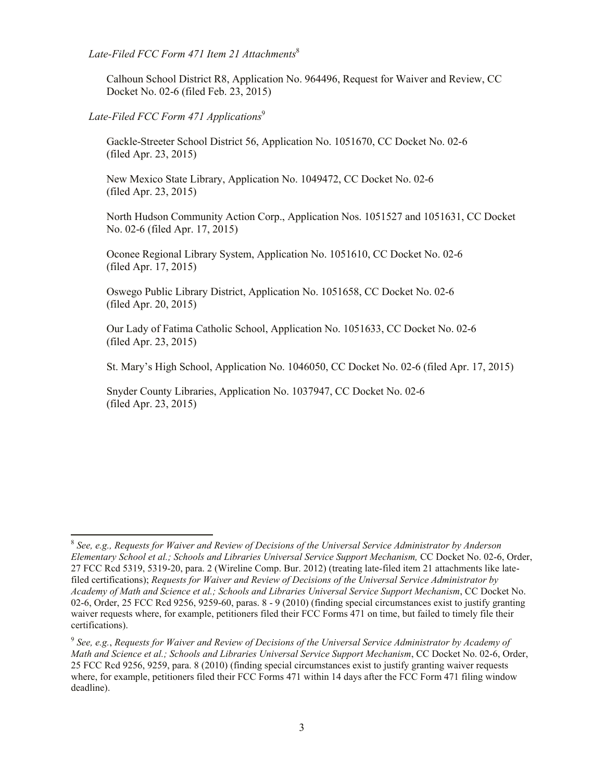*Late-Filed FCC Form 471 Item 21 Attachments*<sup>8</sup>

Calhoun School District R8, Application No. 964496, Request for Waiver and Review, CC Docket No. 02-6 (filed Feb. 23, 2015)

## *Late-Filed FCC Form 471 Applications*<sup>9</sup>

l

Gackle-Streeter School District 56, Application No. 1051670, CC Docket No. 02-6 (filed Apr. 23, 2015)

New Mexico State Library, Application No. 1049472, CC Docket No. 02-6 (filed Apr. 23, 2015)

North Hudson Community Action Corp., Application Nos. 1051527 and 1051631, CC Docket No. 02-6 (filed Apr. 17, 2015)

Oconee Regional Library System, Application No. 1051610, CC Docket No. 02-6 (filed Apr. 17, 2015)

Oswego Public Library District, Application No. 1051658, CC Docket No. 02-6 (filed Apr. 20, 2015)

Our Lady of Fatima Catholic School, Application No. 1051633, CC Docket No. 02-6 (filed Apr. 23, 2015)

St. Mary's High School, Application No. 1046050, CC Docket No. 02-6 (filed Apr. 17, 2015)

Snyder County Libraries, Application No. 1037947, CC Docket No. 02-6 (filed Apr. 23, 2015)

<sup>8</sup> *See, e.g., Requests for Waiver and Review of Decisions of the Universal Service Administrator by Anderson Elementary School et al.; Schools and Libraries Universal Service Support Mechanism,* CC Docket No. 02-6, Order, 27 FCC Rcd 5319, 5319-20, para. 2 (Wireline Comp. Bur. 2012) (treating late-filed item 21 attachments like latefiled certifications); *Requests for Waiver and Review of Decisions of the Universal Service Administrator by Academy of Math and Science et al.; Schools and Libraries Universal Service Support Mechanism*, CC Docket No. 02-6, Order, 25 FCC Rcd 9256, 9259-60, paras. 8 - 9 (2010) (finding special circumstances exist to justify granting waiver requests where, for example, petitioners filed their FCC Forms 471 on time, but failed to timely file their certifications).

<sup>9</sup> *See, e.g.*, *Requests for Waiver and Review of Decisions of the Universal Service Administrator by Academy of Math and Science et al.; Schools and Libraries Universal Service Support Mechanism*, CC Docket No. 02-6, Order, 25 FCC Rcd 9256, 9259, para. 8 (2010) (finding special circumstances exist to justify granting waiver requests where, for example, petitioners filed their FCC Forms 471 within 14 days after the FCC Form 471 filing window deadline).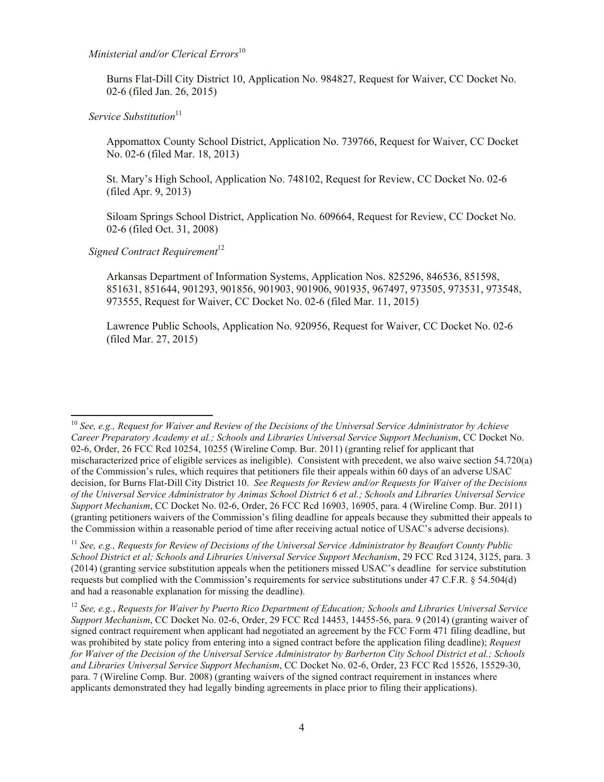*Ministerial and/or Clerical Errors*<sup>10</sup>

Burns Flat-Dill City District 10, Application No. 984827, Request for Waiver, CC Docket No. 02-6 (filed Jan. 26, 2015)

*Service Substitution*<sup>11</sup>

Appomattox County School District, Application No. 739766, Request for Waiver, CC Docket No. 02-6 (filed Mar. 18, 2013)

St. Mary's High School, Application No. 748102, Request for Review, CC Docket No. 02-6 (filed Apr. 9, 2013)

Siloam Springs School District, Application No. 609664, Request for Review, CC Docket No. 02-6 (filed Oct. 31, 2008)

*Signed Contract Requirement*<sup>12</sup>

l

Arkansas Department of Information Systems, Application Nos. 825296, 846536, 851598, 851631, 851644, 901293, 901856, 901903, 901906, 901935, 967497, 973505, 973531, 973548, 973555, Request for Waiver, CC Docket No. 02-6 (filed Mar. 11, 2015)

Lawrence Public Schools, Application No. 920956, Request for Waiver, CC Docket No. 02-6 (filed Mar. 27, 2015)

<sup>11</sup> *See, e.g., Requests for Review of Decisions of the Universal Service Administrator by Beaufort County Public School District et al; Schools and Libraries Universal Service Support Mechanism*, 29 FCC Rcd 3124, 3125, para. 3 (2014) (granting service substitution appeals when the petitioners missed USAC's deadline for service substitution requests but complied with the Commission's requirements for service substitutions under 47 C.F.R. § 54.504(d) and had a reasonable explanation for missing the deadline).

<sup>12</sup> *See, e.g.*, *Requests for Waiver by Puerto Rico Department of Education; Schools and Libraries Universal Service Support Mechanism*, CC Docket No. 02-6, Order, 29 FCC Rcd 14453, 14455-56, para. 9 (2014) (granting waiver of signed contract requirement when applicant had negotiated an agreement by the FCC Form 471 filing deadline, but was prohibited by state policy from entering into a signed contract before the application filing deadline); *Request for Waiver of the Decision of the Universal Service Administrator by Barberton City School District et al.; Schools and Libraries Universal Service Support Mechanism*, CC Docket No. 02-6, Order, 23 FCC Rcd 15526, 15529-30, para. 7 (Wireline Comp. Bur. 2008) (granting waivers of the signed contract requirement in instances where applicants demonstrated they had legally binding agreements in place prior to filing their applications).

<sup>10</sup> *See, e.g., Request for Waiver and Review of the Decisions of the Universal Service Administrator by Achieve Career Preparatory Academy et al.; Schools and Libraries Universal Service Support Mechanism*, CC Docket No. 02-6, Order, 26 FCC Rcd 10254, 10255 (Wireline Comp. Bur. 2011) (granting relief for applicant that mischaracterized price of eligible services as ineligible). Consistent with precedent, we also waive section 54.720(a) of the Commission's rules, which requires that petitioners file their appeals within 60 days of an adverse USAC decision, for Burns Flat-Dill City District 10. *See Requests for Review and/or Requests for Waiver of the Decisions of the Universal Service Administrator by Animas School District 6 et al.; Schools and Libraries Universal Service Support Mechanism*, CC Docket No. 02-6, Order, 26 FCC Rcd 16903, 16905, para. 4 (Wireline Comp. Bur. 2011) (granting petitioners waivers of the Commission's filing deadline for appeals because they submitted their appeals to the Commission within a reasonable period of time after receiving actual notice of USAC's adverse decisions).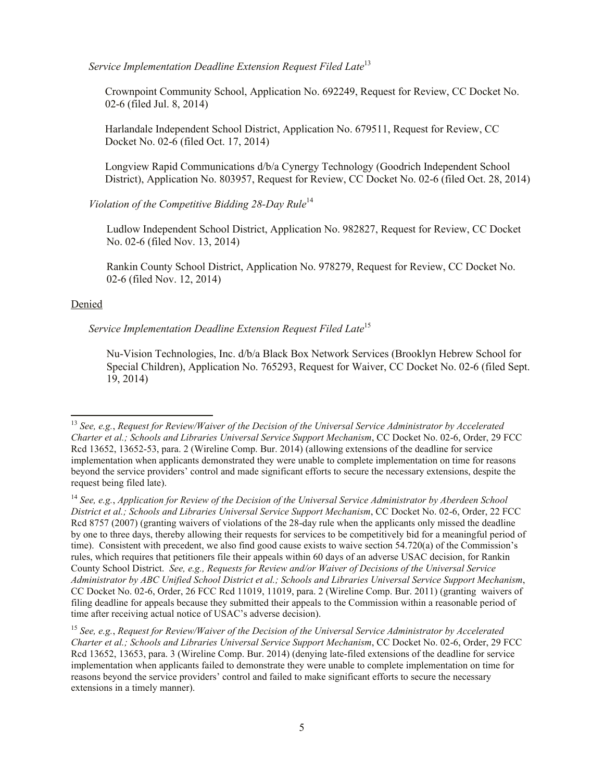*Service Implementation Deadline Extension Request Filed Late*<sup>13</sup>

Crownpoint Community School, Application No. 692249, Request for Review, CC Docket No. 02-6 (filed Jul. 8, 2014)

Harlandale Independent School District, Application No. 679511, Request for Review, CC Docket No. 02-6 (filed Oct. 17, 2014)

Longview Rapid Communications d/b/a Cynergy Technology (Goodrich Independent School District), Application No. 803957, Request for Review, CC Docket No. 02-6 (filed Oct. 28, 2014)

*Violation of the Competitive Bidding 28-Day Rule*<sup>14</sup>

Ludlow Independent School District, Application No. 982827, Request for Review, CC Docket No. 02-6 (filed Nov. 13, 2014)

Rankin County School District, Application No. 978279, Request for Review, CC Docket No. 02-6 (filed Nov. 12, 2014)

### Denied

l

*Service Implementation Deadline Extension Request Filed Late*<sup>15</sup>

Nu-Vision Technologies, Inc. d/b/a Black Box Network Services (Brooklyn Hebrew School for Special Children), Application No. 765293, Request for Waiver, CC Docket No. 02-6 (filed Sept. 19, 2014)

<sup>13</sup> *See, e.g.*, *Request for Review/Waiver of the Decision of the Universal Service Administrator by Accelerated Charter et al.; Schools and Libraries Universal Service Support Mechanism*, CC Docket No. 02-6, Order, 29 FCC Rcd 13652, 13652-53, para. 2 (Wireline Comp. Bur. 2014) (allowing extensions of the deadline for service implementation when applicants demonstrated they were unable to complete implementation on time for reasons beyond the service providers' control and made significant efforts to secure the necessary extensions, despite the request being filed late).

<sup>14</sup> *See, e.g.*, *Application for Review of the Decision of the Universal Service Administrator by Aberdeen School District et al.; Schools and Libraries Universal Service Support Mechanism*, CC Docket No. 02-6, Order, 22 FCC Rcd 8757 (2007) (granting waivers of violations of the 28-day rule when the applicants only missed the deadline by one to three days, thereby allowing their requests for services to be competitively bid for a meaningful period of time). Consistent with precedent, we also find good cause exists to waive section 54.720(a) of the Commission's rules, which requires that petitioners file their appeals within 60 days of an adverse USAC decision, for Rankin County School District. *See, e.g., Requests for Review and/or Waiver of Decisions of the Universal Service Administrator by ABC Unified School District et al.; Schools and Libraries Universal Service Support Mechanism*, CC Docket No. 02-6, Order, 26 FCC Rcd 11019, 11019, para. 2 (Wireline Comp. Bur. 2011) (granting waivers of filing deadline for appeals because they submitted their appeals to the Commission within a reasonable period of time after receiving actual notice of USAC's adverse decision).

<sup>15</sup> *See, e.g.*, *Request for Review/Waiver of the Decision of the Universal Service Administrator by Accelerated Charter et al.; Schools and Libraries Universal Service Support Mechanism*, CC Docket No. 02-6, Order, 29 FCC Rcd 13652, 13653, para. 3 (Wireline Comp. Bur. 2014) (denying late-filed extensions of the deadline for service implementation when applicants failed to demonstrate they were unable to complete implementation on time for reasons beyond the service providers' control and failed to make significant efforts to secure the necessary extensions in a timely manner).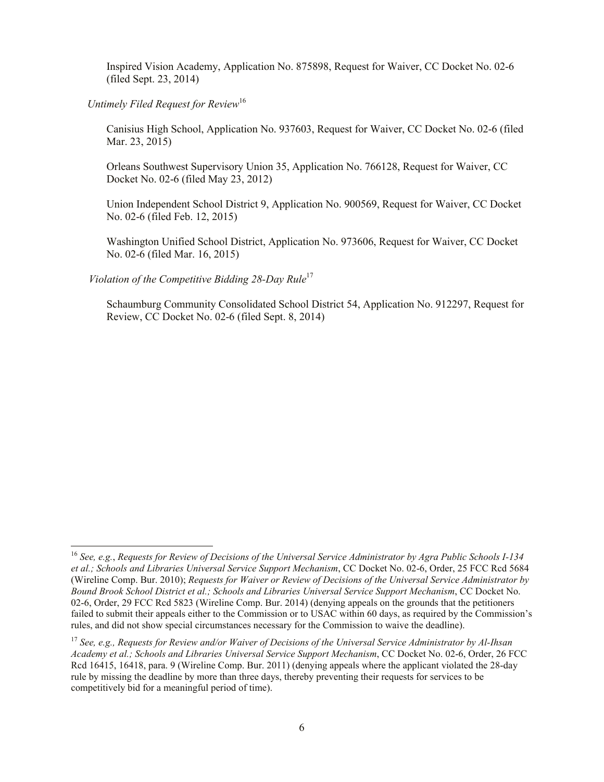Inspired Vision Academy, Application No. 875898, Request for Waiver, CC Docket No. 02-6 (filed Sept. 23, 2014)

# *Untimely Filed Request for Review*<sup>16</sup>

Canisius High School, Application No. 937603, Request for Waiver, CC Docket No. 02-6 (filed Mar. 23, 2015)

Orleans Southwest Supervisory Union 35, Application No. 766128, Request for Waiver, CC Docket No. 02-6 (filed May 23, 2012)

Union Independent School District 9, Application No. 900569, Request for Waiver, CC Docket No. 02-6 (filed Feb. 12, 2015)

Washington Unified School District, Application No. 973606, Request for Waiver, CC Docket No. 02-6 (filed Mar. 16, 2015)

*Violation of the Competitive Bidding 28-Day Rule*<sup>17</sup>

l

Schaumburg Community Consolidated School District 54, Application No. 912297, Request for Review, CC Docket No. 02-6 (filed Sept. 8, 2014)

<sup>16</sup> *See, e.g.*, *Requests for Review of Decisions of the Universal Service Administrator by Agra Public Schools I-134 et al.; Schools and Libraries Universal Service Support Mechanism*, CC Docket No. 02-6, Order, 25 FCC Rcd 5684 (Wireline Comp. Bur. 2010); *Requests for Waiver or Review of Decisions of the Universal Service Administrator by Bound Brook School District et al.; Schools and Libraries Universal Service Support Mechanism*, CC Docket No. 02-6, Order, 29 FCC Rcd 5823 (Wireline Comp. Bur. 2014) (denying appeals on the grounds that the petitioners failed to submit their appeals either to the Commission or to USAC within 60 days, as required by the Commission's rules, and did not show special circumstances necessary for the Commission to waive the deadline).

<sup>17</sup> *See, e.g., Requests for Review and/or Waiver of Decisions of the Universal Service Administrator by Al-Ihsan Academy et al.; Schools and Libraries Universal Service Support Mechanism*, CC Docket No. 02-6, Order, 26 FCC Rcd 16415, 16418, para. 9 (Wireline Comp. Bur. 2011) (denying appeals where the applicant violated the 28-day rule by missing the deadline by more than three days, thereby preventing their requests for services to be competitively bid for a meaningful period of time).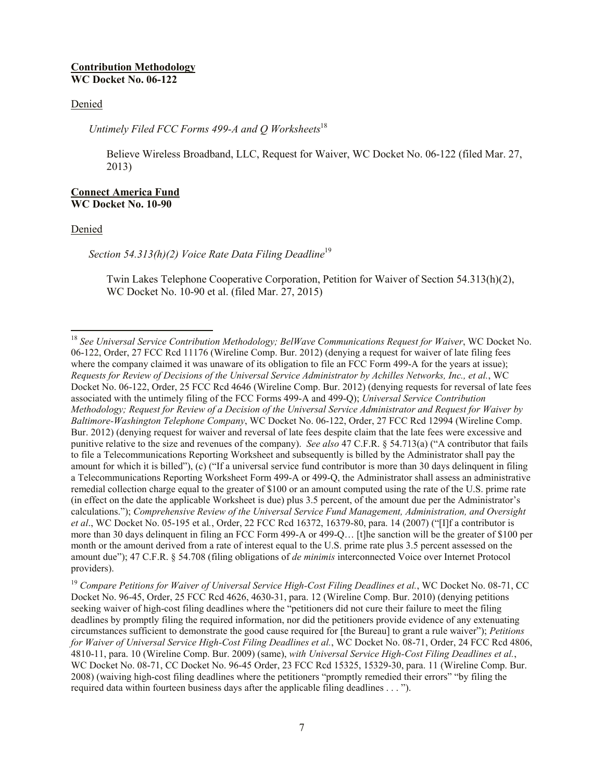### **Contribution Methodology WC Docket No. 06-122**

### Denied

*Untimely Filed FCC Forms 499-A and Q Worksheets*<sup>18</sup>

Believe Wireless Broadband, LLC, Request for Waiver, WC Docket No. 06-122 (filed Mar. 27, 2013)

### **Connect America Fund WC Docket No. 10-90**

#### Denied

l

*Section 54.313(h)(2) Voice Rate Data Filing Deadline*<sup>19</sup>

Twin Lakes Telephone Cooperative Corporation, Petition for Waiver of Section 54.313(h)(2), WC Docket No. 10-90 et al. (filed Mar. 27, 2015)

<sup>18</sup> *See Universal Service Contribution Methodology; BelWave Communications Request for Waiver*, WC Docket No. 06-122, Order, 27 FCC Rcd 11176 (Wireline Comp. Bur. 2012) (denying a request for waiver of late filing fees where the company claimed it was unaware of its obligation to file an FCC Form 499-A for the years at issue); *Requests for Review of Decisions of the Universal Service Administrator by Achilles Networks, Inc., et al.*, WC Docket No. 06-122, Order, 25 FCC Rcd 4646 (Wireline Comp. Bur. 2012) (denying requests for reversal of late fees associated with the untimely filing of the FCC Forms 499-A and 499-Q); *Universal Service Contribution Methodology; Request for Review of a Decision of the Universal Service Administrator and Request for Waiver by Baltimore-Washington Telephone Company*, WC Docket No. 06-122, Order, 27 FCC Rcd 12994 (Wireline Comp. Bur. 2012) (denying request for waiver and reversal of late fees despite claim that the late fees were excessive and punitive relative to the size and revenues of the company). *See also* 47 C.F.R. § 54.713(a) ("A contributor that fails to file a Telecommunications Reporting Worksheet and subsequently is billed by the Administrator shall pay the amount for which it is billed"), (c) ("If a universal service fund contributor is more than 30 days delinquent in filing a Telecommunications Reporting Worksheet Form 499-A or 499-Q, the Administrator shall assess an administrative remedial collection charge equal to the greater of \$100 or an amount computed using the rate of the U.S. prime rate (in effect on the date the applicable Worksheet is due) plus 3.5 percent, of the amount due per the Administrator's calculations."); *Comprehensive Review of the Universal Service Fund Management, Administration, and Oversight et al*., WC Docket No. 05-195 et al*.*, Order, 22 FCC Rcd 16372, 16379-80, para. 14 (2007) ("[I]f a contributor is more than 30 days delinquent in filing an FCC Form 499-A or 499-Q… [t]he sanction will be the greater of \$100 per month or the amount derived from a rate of interest equal to the U.S. prime rate plus 3.5 percent assessed on the amount due"); 47 C.F.R. § 54.708 (filing obligations of *de minimis* interconnected Voice over Internet Protocol providers).

<sup>&</sup>lt;sup>19</sup> Compare Petitions for Waiver of Universal Service High-Cost Filing Deadlines et al., WC Docket No. 08-71, CC Docket No. 96-45, Order, 25 FCC Rcd 4626, 4630-31, para. 12 (Wireline Comp. Bur. 2010) (denying petitions seeking waiver of high-cost filing deadlines where the "petitioners did not cure their failure to meet the filing deadlines by promptly filing the required information, nor did the petitioners provide evidence of any extenuating circumstances sufficient to demonstrate the good cause required for [the Bureau] to grant a rule waiver"); *Petitions for Waiver of Universal Service High-Cost Filing Deadlines et al.*, WC Docket No. 08-71, Order, 24 FCC Rcd 4806, 4810-11, para. 10 (Wireline Comp. Bur. 2009) (same), *with Universal Service High-Cost Filing Deadlines et al.*, WC Docket No. 08-71, CC Docket No. 96-45 Order, 23 FCC Rcd 15325, 15329-30, para. 11 (Wireline Comp. Bur. 2008) (waiving high-cost filing deadlines where the petitioners "promptly remedied their errors" "by filing the required data within fourteen business days after the applicable filing deadlines . . . ").